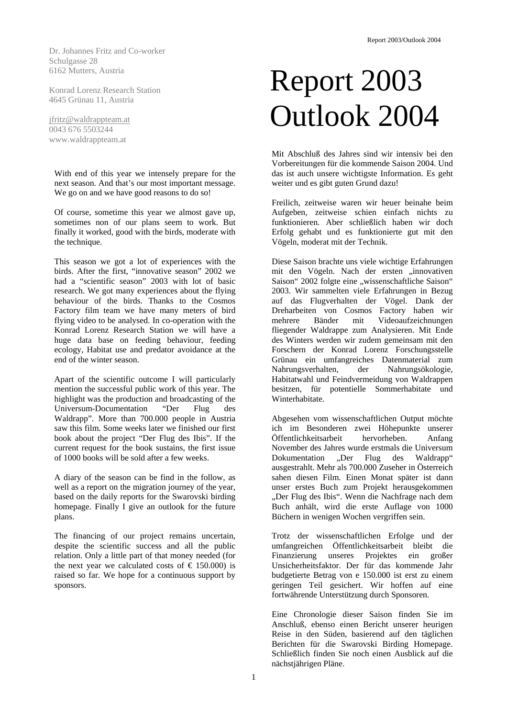Dr. Johannes Fritz and Co-worker Schulgasse 28 6162 Mutters, Austria

Konrad Lorenz Research Station 4645 Grünau 11, Austria

[jfritz@waldrappteam.at](mailto:jfirtz@waldrappteam.at) 0043 676 5503244 www.waldrappteam.at

With end of this year we intensely prepare for the next season. And that's our most important message. We go on and we have good reasons to do so!

Of course, sometime this year we almost gave up, sometimes non of our plans seem to work. But finally it worked, good with the birds, moderate with the technique.

This season we got a lot of experiences with the birds. After the first, "innovative season" 2002 we had a "scientific season" 2003 with lot of basic research. We got many experiences about the flying behaviour of the birds. Thanks to the Cosmos Factory film team we have many meters of bird flying video to be analysed. In co-operation with the Konrad Lorenz Research Station we will have a huge data base on feeding behaviour, feeding ecology, Habitat use and predator avoidance at the end of the winter season.

Apart of the scientific outcome I will particularly mention the successful public work of this year. The highlight was the production and broadcasting of the Universum-Documentation "Der Flug des Waldrapp". More than 700.000 people in Austria saw this film. Some weeks later we finished our first book about the project "Der Flug des Ibis". If the current request for the book sustains, the first issue of 1000 books will be sold after a few weeks.

A diary of the season can be find in the follow, as well as a report on the migration journey of the year, based on the daily reports for the Swarovski birding homepage. Finally I give an outlook for the future plans.

The financing of our project remains uncertain, despite the scientific success and all the public relation. Only a little part of that money needed (for the next year we calculated costs of  $\epsilon$  150.000) is raised so far. We hope for a continuous support by sponsors.

# Report 2003 Outlook 2004

Mit Abschluß des Jahres sind wir intensiv bei den Vorbereitungen für die kommende Saison 2004. Und das ist auch unsere wichtigste Information. Es geht weiter und es gibt guten Grund dazu!

Freilich, zeitweise waren wir heuer beinahe beim Aufgeben, zeitweise schien einfach nichts zu funktionieren. Aber schließlich haben wir doch Erfolg gehabt und es funktionierte gut mit den Vögeln, moderat mit der Technik.

Diese Saison brachte uns viele wichtige Erfahrungen mit den Vögeln. Nach der ersten "innovativen Saison" 2002 folgte eine "wissenschaftliche Saison" 2003. Wir sammelten viele Erfahrungen in Bezug auf das Flugverhalten der Vögel. Dank der Dreharbeiten von Cosmos Factory haben wir mehrere Bänder mit Videoaufzeichnungen fliegender Waldrappe zum Analysieren. Mit Ende des Winters werden wir zudem gemeinsam mit den Forschern der Konrad Lorenz Forschungsstelle Grünau ein umfangreiches Datenmaterial zum Nahrungsverhalten, der Nahrungsökologie, Habitatwahl und Feindvermeidung von Waldrappen besitzen, für potentielle Sommerhabitate und Winterhabitate.

Abgesehen vom wissenschaftlichen Output möchte ich im Besonderen zwei Höhepunkte unserer Öffentlichkeitsarbeit hervorheben. Anfang November des Jahres wurde erstmals die Universum Dokumentation "Der Flug des Waldrapp" ausgestrahlt. Mehr als 700.000 Zuseher in Österreich sahen diesen Film. Einen Monat später ist dann unser erstes Buch zum Projekt herausgekommen "Der Flug des Ibis". Wenn die Nachfrage nach dem Buch anhält, wird die erste Auflage von 1000 Büchern in wenigen Wochen vergriffen sein.

Trotz der wissenschaftlichen Erfolge und der umfangreichen Öffentlichkeitsarbeit bleibt die Finanzierung unseres Projektes ein großer Unsicherheitsfaktor. Der für das kommende Jahr budgetierte Betrag von e 150.000 ist erst zu einem geringen Teil gesichert. Wir hoffen auf eine fortwährende Unterstützung durch Sponsoren.

Eine Chronologie dieser Saison finden Sie im Anschluß, ebenso einen Bericht unserer heurigen Reise in den Süden, basierend auf den täglichen Berichten für die Swarovski Birding Homepage. Schließlich finden Sie noch einen Ausblick auf die nächstjährigen Pläne.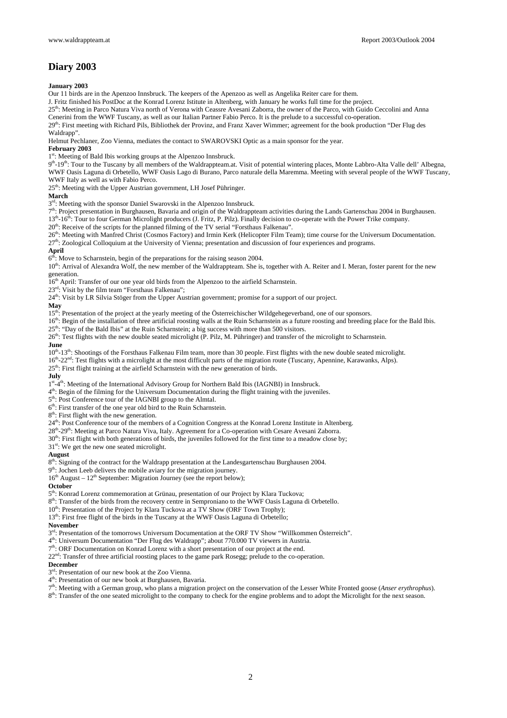# **Diary 2003**

### **January 2003**

Our 11 birds are in the Apenzoo Innsbruck. The keepers of the Apenzoo as well as Angelika Reiter care for them.

J. Fritz finished his PostDoc at the Konrad Lorenz Istitute in Altenberg, with January he works full time for the project.

25<sup>th</sup>: Meeting in Parco Natura Viva north of Verona with Ceassre Avesani Zaborra, the owner of the Parco, with Guido Ceccolini and Anna Cenerini from the WWF Tuscany, as well as our Italian Partner Fabio Perco. It is the prelude to a successful co-operation.

29<sup>th</sup>: First meeting with Richard Pils, Bibliothek der Provinz, and Franz Xaver Wimmer; agreement for the book production "Der Flug des Waldrapp".

Helmut Pechlaner, Zoo Vienna, mediates the contact to SWAROVSKI Optic as a main sponsor for the year.

#### **February 2003**

1<sup>st</sup>: Meeting of Bald Ibis working groups at the Alpenzoo Innsbruck.

9<sup>th</sup>-19<sup>th</sup>: Tour to the Tuscany by all members of the Waldrappteam.at. Visit of potential wintering places, Monte Labbro-Alta Valle dell' Albegna, WWF Oasis Laguna di Orbetello, WWF Oasis Lago di Burano, Parco naturale della Maremma. Meeting with several people of the WWF Tuscany, WWF Italy as well as with Fabio Perco.

25<sup>th</sup>: Meeting with the Upper Austrian government, LH Josef Pühringer.

#### **March**

 $3<sup>rd</sup>$ : Meeting with the sponsor Daniel Swarovski in the Alpenzoo Innsbruck.

 $7<sup>th</sup>$ : Project presentation in Burghausen, Bavaria and origin of the Waldrappteam activities during the Lands Gartenschau 2004 in Burghausen. 13<sup>th</sup>-16<sup>th</sup>: Tour to four German Microlight producers (J. Fritz, P. Pilz). Finally decision to co-operate with the Power Trike company.

20<sup>th</sup>: Receive of the scripts for the planned filming of the TV serial "Forsthaus Falkenau".

26<sup>th</sup>: Meeting with Manfred Christ (Cosmos Factory) and Irmin Kerk (Helicopter Film Team); time course for the Universum Documentation.

27<sup>th</sup>: Zoological Colloquium at the University of Vienna; presentation and discussion of four experiences and programs.

# **April**

 $6<sup>th</sup>$ : Move to Scharnstein, begin of the preparations for the raising season 2004.

10<sup>th</sup>: Arrival of Alexandra Wolf, the new member of the Waldrappteam. She is, together with A. Reiter and I. Meran, foster parent for the new generation.

16<sup>th</sup> April: Transfer of our one year old birds from the Alpenzoo to the airfield Scharnstein.

23<sup>rd</sup>: Visit by the film team "Forsthaus Falkenau";

24<sup>th</sup>: Visit by LR Silvia Stöger from the Upper Austrian government; promise for a support of our project.

#### **May**

15<sup>th</sup>: Presentation of the project at the yearly meeting of the Österreichischer Wildgehegeverband, one of our sponsors.

16<sup>th</sup>: Begin of the installation of three artificial roosting walls at the Ruin Scharnstein as a future roosting and breeding place for the Bald Ibis.

 $25<sup>th</sup>$ : "Day of the Bald Ibis" at the Ruin Scharnstein; a big success with more than 500 visitors.

26<sup>th</sup>: Test flights with the new double seated microlight (P. Pilz, M. Pühringer) and transfer of the microlight to Scharnstein.

#### **June**

 $10<sup>th</sup>$ -13<sup>th</sup>: Shootings of the Forsthaus Falkenau Film team, more than 30 people. First flights with the new double seated microlight.

16<sup>th</sup>-22<sup>nd</sup>: Test flights with a microlight at the most difficult parts of the migration route (Tuscany, Apennine, Karawanks, Alps).

25<sup>th</sup>: First flight training at the airfield Scharnstein with the new generation of birds.

#### **July**

1st<sub>-4th</sub>: Meeting of the International Advisory Group for Northern Bald Ibis (IAGNBI) in Innsbruck.

4th: Begin of the filming for the Universum Documentation during the flight training with the juveniles.

5<sup>th</sup>: Post Conference tour of the IAGNBI group to the Almtal.

 $6<sup>th</sup>$ : First transfer of the one year old bird to the Ruin Scharnstein.

8<sup>th</sup>: First flight with the new generation.

24<sup>th</sup>: Post Conference tour of the members of a Cognition Congress at the Konrad Lorenz Institute in Altenberg.

28<sup>th</sup>-29<sup>th</sup>: Meeting at Parco Natura Viva, Italy. Agreement for a Co-operation with Cesare Avesani Zaborra.

30<sup>th</sup>: First flight with both generations of birds, the juveniles followed for the first time to a meadow close by;

31<sup>st</sup>: We get the new one seated microlight.

#### **August**

8<sup>th</sup>: Signing of the contract for the Waldrapp presentation at the Landesgartenschau Burghausen 2004.

9<sup>th</sup>: Jochen Leeb delivers the mobile aviary for the migration journey.

 $16<sup>th</sup>$  August –  $12<sup>th</sup>$  September: Migration Journey (see the report below);

#### **October**

5<sup>th</sup>: Konrad Lorenz commemoration at Grünau, presentation of our Project by Klara Tuckova;

8<sup>th</sup>: Transfer of the birds from the recovery centre in Semproniano to the WWF Oasis Laguna di Orbetello.

 $10^{th}$ : Presentation of the Project by Klara Tuckova at a TV Show (ORF Town Trophy);

13<sup>th</sup>: First free flight of the birds in the Tuscany at the WWF Oasis Laguna di Orbetello;

## **November**

 $3<sup>rd</sup>$ : Presentation of the tomorrows Universum Documentation at the ORF TV Show "Willkommen Österreich".

4th: Universum Documentation "Der Flug des Waldrapp"; about 770.000 TV viewers in Austria.

7<sup>th</sup>: ORF Documentation on Konrad Lorenz with a short presentation of our project at the end.

22<sup>nd</sup>: Transfer of three artificial roosting places to the game park Rosegg; prelude to the co-operation.

#### **December**

3rd: Presentation of our new book at the Zoo Vienna.

4th: Presentation of our new book at Burghausen, Bavaria.

7th: Meeting with a German group, who plans a migration project on the conservation of the Lesser White Fronted goose (*Anser erythrophus*).

8<sup>th</sup>: Transfer of the one seated microlight to the company to check for the engine problems and to adopt the Microlight for the next season.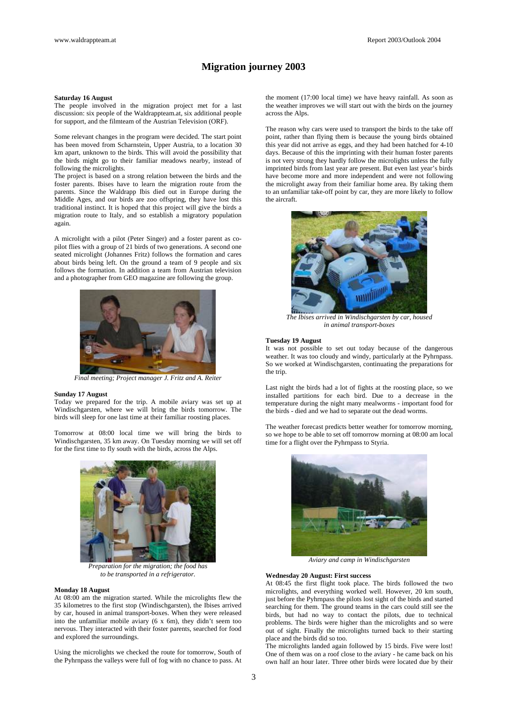# **Migration journey 2003**

#### **Saturday 16 August**

The people involved in the migration project met for a last discussion: six people of the Waldrappteam.at, six additional people for support, and the filmteam of the Austrian Television (ORF).

Some relevant changes in the program were decided. The start point has been moved from Scharnstein, Upper Austria, to a location 30 km apart, unknown to the birds. This will avoid the possibility that the birds might go to their familiar meadows nearby, instead of following the microlights.

The project is based on a strong relation between the birds and the foster parents. Ibises have to learn the migration route from the parents. Since the Waldrapp Ibis died out in Europe during the Middle Ages, and our birds are zoo offspring, they have lost this traditional instinct. It is hoped that this project will give the birds a migration route to Italy, and so establish a migratory population again.

A microlight with a pilot (Peter Singer) and a foster parent as copilot flies with a group of 21 birds of two generations. A second one seated microlight (Johannes Fritz) follows the formation and cares about birds being left. On the ground a team of 9 people and six follows the formation. In addition a team from Austrian television and a photographer from GEO magazine are following the group.



*Final meeting; Project manager J. Fritz and A. Reiter* 

#### **Sunday 17 August**

Today we prepared for the trip. A mobile aviary was set up at Windischgarsten, where we will bring the birds tomorrow. The birds will sleep for one last time at their familiar roosting places.

Tomorrow at 08:00 local time we will bring the birds to Windischgarsten, 35 km away. On Tuesday morning we will set off for the first time to fly south with the birds, across the Alps.



*Preparation for the migration; the food has to be transported in a refrigerator.*

#### **Monday 18 August**

At 08:00 am the migration started. While the microlights flew the 35 kilometres to the first stop (Windischgarsten), the Ibises arrived by car, housed in animal transport-boxes. When they were released into the unfamiliar mobile aviary (6 x 6m), they didn't seem too nervous. They interacted with their foster parents, searched for food and explored the surroundings.

Using the microlights we checked the route for tomorrow, South of the Pyhrnpass the valleys were full of fog with no chance to pass. At

the moment (17:00 local time) we have heavy rainfall. As soon as the weather improves we will start out with the birds on the journey across the Alps.

The reason why cars were used to transport the birds to the take off point, rather than flying them is because the young birds obtained this year did not arrive as eggs, and they had been hatched for 4-10 days. Because of this the imprinting with their human foster parents is not very strong they hardly follow the microlights unless the fully imprinted birds from last year are present. But even last year's birds have become more and more independent and were not following the microlight away from their familiar home area. By taking them to an unfamiliar take-off point by car, they are more likely to follow the aircraft.



*The Ibises arrived in Windischgarsten by car, housed in animal transport-boxes* 

#### **Tuesday 19 August**

It was not possible to set out today because of the dangerous weather. It was too cloudy and windy, particularly at the Pyhrnpass. So we worked at Windischgarsten, continuating the preparations for the trip.

Last night the birds had a lot of fights at the roosting place, so we installed partitions for each bird. Due to a decrease in the temperature during the night many mealworms - important food for the birds - died and we had to separate out the dead worms.

The weather forecast predicts better weather for tomorrow morning, so we hope to be able to set off tomorrow morning at 08:00 am local time for a flight over the Pyhrnpass to Styria.



*Aviary and camp in Windischgarsten*

#### **Wednesday 20 August: First success**

At 08:45 the first flight took place. The birds followed the two microlights, and everything worked well. However, 20 km south, just before the Pyhrnpass the pilots lost sight of the birds and started searching for them. The ground teams in the cars could still see the birds, but had no way to contact the pilots, due to technical problems. The birds were higher than the microlights and so were out of sight. Finally the microlights turned back to their starting place and the birds did so too.

The microlights landed again followed by 15 birds. Five were lost! One of them was on a roof close to the aviary - he came back on his own half an hour later. Three other birds were located due by their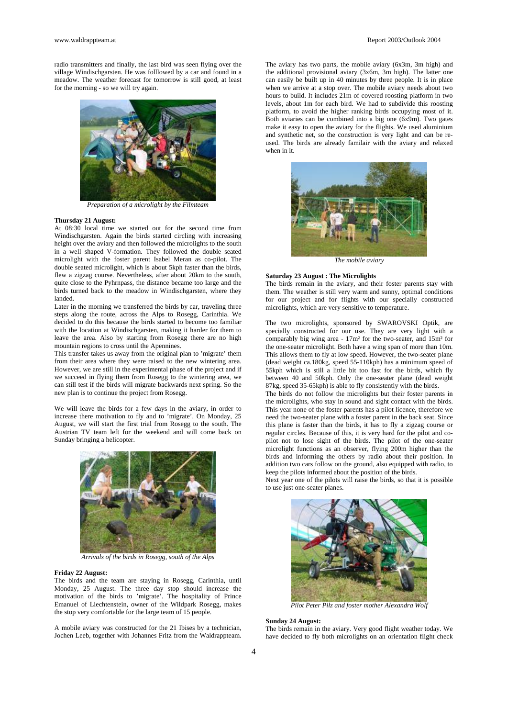www.waldrappteam.at Report 2003/Outlook 2004

radio transmitters and finally, the last bird was seen flying over the village Windischgarsten. He was folllowed by a car and found in a meadow. The weather forecast for tomorrow is still good, at least for the morning - so we will try again.



*Preparation of a microlight by the Filmteam* 

#### **Thursday 21 August:**

At 08:30 local time we started out for the second time from Windischgarsten. Again the birds started circling with increasing height over the aviary and then followed the microlights to the south in a well shaped V-formation. They followed the double seated microlight with the foster parent Isabel Meran as co-pilot. The double seated microlight, which is about 5kph faster than the birds, flew a zigzag course. Nevertheless, after about 20km to the south, quite close to the Pyhrnpass, the distance became too large and the birds turned back to the meadow in Windischgarsten, where they landed.

Later in the morning we transferred the birds by car, traveling three steps along the route, across the Alps to Rosegg, Carinthia. We decided to do this because the birds started to become too familiar with the location at Windischgarsten, making it harder for them to leave the area. Also by starting from Rosegg there are no high mountain regions to cross until the Apennines.

This transfer takes us away from the original plan to 'migrate' them from their area where they were raised to the new wintering area. However, we are still in the experimental phase of the project and if we succeed in flying them from Rosegg to the wintering area, we can still test if the birds will migrate backwards next spring. So the new plan is to continue the project from Rosegg.

We will leave the birds for a few days in the aviary, in order to increase there motivation to fly and to 'migrate'. On Monday, 25 August, we will start the first trial from Rosegg to the south. The Austrian TV team left for the weekend and will come back on Sunday bringing a helicopter.



*Arrivals of the birds in Rosegg, south of the Alps* 

#### **Friday 22 August:**

The birds and the team are staying in Rosegg, Carinthia, until Monday, 25 August. The three day stop should increase the motivation of the birds to 'migrate'. The hospitality of Prince Emanuel of Liechtenstein, owner of the Wildpark Rosegg, makes the stop very comfortable for the large team of 15 people.

A mobile aviary was constructed for the 21 Ibises by a technician, Jochen Leeb, together with Johannes Fritz from the Waldrappteam. The aviary has two parts, the mobile aviary (6x3m, 3m high) and the additional provisional aviary (3x6m, 3m high). The latter one can easily be built up in 40 minutes by three people. It is in place when we arrive at a stop over. The mobile aviary needs about two hours to build. It includes 21m of covered roosting platform in two levels, about 1m for each bird. We had to subdivide this roosting platform, to avoid the higher ranking birds occupying most of it. Both aviaries can be combined into a big one  $(6x9m)$ . Two gates make it easy to open the aviary for the flights. We used aluminium and synthetic net, so the construction is very light and can be reused. The birds are already familair with the aviary and relaxed when in it.



*The mobile aviary* 

#### **Saturday 23 August : The Microlights**

The birds remain in the aviary, and their foster parents stay with them. The weather is still very warm and sunny, optimal conditions for our project and for flights with our specially constructed microlights, which are very sensitive to temperature.

The two microlights, sponsored by SWAROVSKI Optik, are specially constructed for our use. They are very light with a comparably big wing area - 17m² for the two-seater, and 15m² for the one-seater microlight. Both have a wing span of more than 10m. This allows them to fly at low speed. However, the two-seater plane (dead weight ca.180kg, speed 55-110kph) has a minimum speed of 55kph which is still a little bit too fast for the birds, which fly between 40 and 50kph. Only the one-seater plane (dead weight 87kg, speed 35-65kph) is able to fly consistently with the birds.

The birds do not follow the microlights but their foster parents in the microlights, who stay in sound and sight contact with the birds. This year none of the foster parents has a pilot licence, therefore we need the two-seater plane with a foster parent in the back seat. Since this plane is faster than the birds, it has to fly a zigzag course or regular circles. Because of this, it is very hard for the pilot and copilot not to lose sight of the birds. The pilot of the one-seater microlight functions as an observer, flying 200m higher than the birds and informing the others by radio about their position. In addition two cars follow on the ground, also equipped with radio, to keep the pilots informed about the position of the birds.

Next year one of the pilots will raise the birds, so that it is possible to use just one-seater planes.



*Pilot Peter Pilz and foster mother Alexandra Wolf* 

#### **Sunday 24 August:**

The birds remain in the aviary. Very good flight weather today. We have decided to fly both microlights on an orientation flight check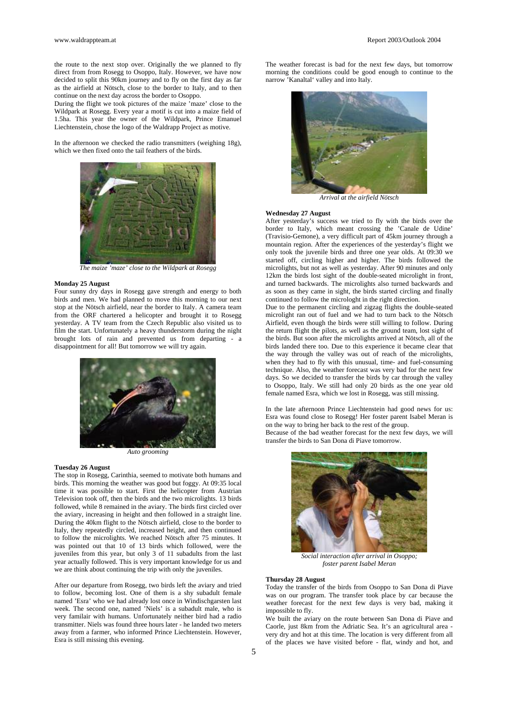the route to the next stop over. Originally the we planned to fly direct from from Rosegg to Osoppo, Italy. However, we have now decided to split this 90km journey and to fly on the first day as far as the airfield at Nötsch, close to the border to Italy, and to then continue on the next day across the border to Osoppo.

During the flight we took pictures of the maize 'maze' close to the Wildpark at Rosegg. Every year a motif is cut into a maize field of 1.5ha. This year the owner of the Wildpark, Prince Emanuel Liechtenstein, chose the logo of the Waldrapp Project as motive.

In the afternoon we checked the radio transmitters (weighing 18g), which we then fixed onto the tail feathers of the birds.



*The maize 'maze' close to the Wildpark at Rosegg* 

#### **Monday 25 August**

Four sunny dry days in Rosegg gave strength and energy to both birds and men. We had planned to move this morning to our next stop at the Nötsch airfield, near the border to Italy. A camera team from the ORF chartered a helicopter and brought it to Rosegg yesterday. A TV team from the Czech Republic also visited us to film the start. Unfortunately a heavy thunderstorm during the night brought lots of rain and prevented us from departing - a disappointment for all! But tomorrow we will try again.



*Auto grooming* 

#### **Tuesday 26 August**

The stop in Rosegg, Carinthia, seemed to motivate both humans and birds. This morning the weather was good but foggy. At 09:35 local time it was possible to start. First the helicopter from Austrian Television took off, then the birds and the two microlights. 13 birds followed, while 8 remained in the aviary. The birds first circled over the aviary, increasing in height and then followed in a straight line. During the 40km flight to the Nötsch airfield, close to the border to Italy, they repeatedly circled, increased height, and then continued to follow the microlights. We reached Nötsch after 75 minutes. It was pointed out that 10 of 13 birds which followed, were the juveniles from this year, but only 3 of 11 subadults from the last year actually followed. This is very important knowledge for us and we are think about continuing the trip with only the juveniles.

After our departure from Rosegg, two birds left the aviary and tried to follow, becoming lost. One of them is a shy subadult female named 'Esra' who we had already lost once in Windischgarsten last week. The second one, named 'Niels' is a subadult male, who is very familair with humans. Unfortunately neither bird had a radio transmitter. Niels was found three hours later - he landed two meters away from a farmer, who informed Prince Liechtenstein. However, Esra is still missing this evening.

The weather forecast is bad for the next few days, but tomorrow morning the conditions could be good enough to continue to the narrow 'Kanaltal' valley and into Italy.



*Arrival at the airfield Nötsch* 

#### **Wednesday 27 August**

After yesterday's success we tried to fly with the birds over the border to Italy, which meant crossing the 'Canale de Udine' (Travisio-Gemone), a very difficult part of 45km journey through a mountain region. After the experiences of the yesterday's flight we only took the juvenile birds and three one year olds. At 09:30 we started off, circling higher and higher. The birds followed the microlights, but not as well as yesterday. After 90 minutes and only 12km the birds lost sight of the double-seated microlight in front, and turned backwards. The microlights also turned backwards and as soon as they came in sight, the birds started circling and finally continued to follow the microloght in the right direction.

Due to the permanent circling and zigzag flights the double-seated microlight ran out of fuel and we had to turn back to the Nötsch Airfield, even though the birds were still willing to follow. During the return flight the pilots, as well as the ground team, lost sight of the birds. But soon after the microlights arrived at Nötsch, all of the birds landed there too. Due to this experience it became clear that the way through the valley was out of reach of the microlights, when they had to fly with this unusual, time- and fuel-consuming technique. Also, the weather forecast was very bad for the next few days. So we decided to transfer the birds by car through the valley to Osoppo, Italy. We still had only 20 birds as the one year old female named Esra, which we lost in Rosegg, was still missing.

In the late afternoon Prince Liechtenstein had good news for us: Esra was found close to Rosegg! Her foster parent Isabel Meran is on the way to bring her back to the rest of the group. Because of the bad weather forecast for the next few days, we will

transfer the birds to San Dona di Piave tomorrow.



*Social interaction after arrival in Osoppo; foster parent Isabel Meran* 

#### **Thursday 28 August**

Today the transfer of the birds from Osoppo to San Dona di Piave was on our program. The transfer took place by car because the weather forecast for the next few days is very bad, making it impossible to fly.

We built the aviary on the route between San Dona di Piave and Caorle, just 8km from the Adriatic Sea. It's an agricultural area very dry and hot at this time. The location is very different from all of the places we have visited before - flat, windy and hot, and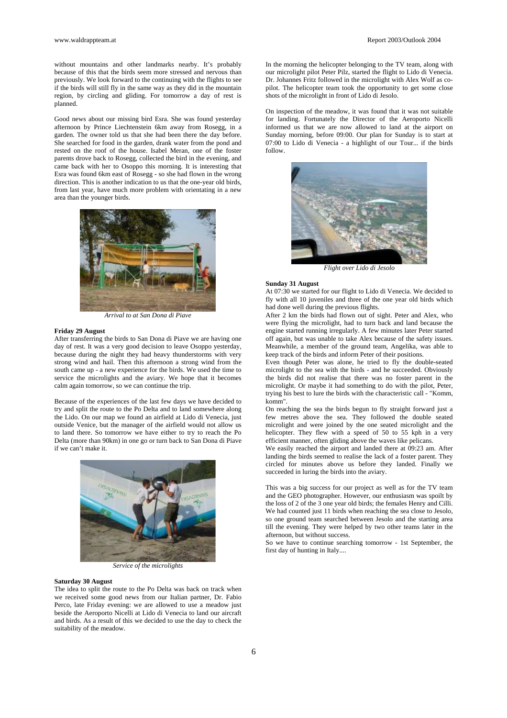without mountains and other landmarks nearby. It's probably because of this that the birds seem more stressed and nervous than previously. We look forward to the continuing with the flights to see if the birds will still fly in the same way as they did in the mountain region, by circling and gliding. For tomorrow a day of rest is planned.

Good news about our missing bird Esra. She was found yesterday afternoon by Prince Liechtenstein 6km away from Rosegg, in a garden. The owner told us that she had been there the day before. She searched for food in the garden, drank water from the pond and rested on the roof of the house. Isabel Meran, one of the foster parents drove back to Rosegg, collected the bird in the evening, and came back with her to Osoppo this morning. It is interesting that Esra was found 6km east of Rosegg - so she had flown in the wrong direction. This is another indication to us that the one-year old birds, from last year, have much more problem with orientating in a new area than the younger birds.



*Arrival to at San Dona di Piave* 

#### **Friday 29 August**

After transferring the birds to San Dona di Piave we are having one day of rest. It was a very good decision to leave Osoppo yesterday, because during the night they had heavy thunderstorms with very strong wind and hail. Then this afternoon a strong wind from the south came up - a new experience for the birds. We used the time to service the microlights and the aviary. We hope that it becomes calm again tomorrow, so we can continue the trip.

Because of the experiences of the last few days we have decided to try and split the route to the Po Delta and to land somewhere along the Lido. On our map we found an airfield at Lido di Venecia, just outside Venice, but the manager of the airfield would not allow us to land there. So tomorrow we have either to try to reach the Po Delta (more than 90km) in one go or turn back to San Dona di Piave if we can't make it.



*Service of the microlights* 

#### **Saturday 30 August**

The idea to split the route to the Po Delta was back on track when we received some good news from our Italian partner, Dr. Fabio Perco, late Friday evening: we are allowed to use a meadow just beside the Aeroporto Nicelli at Lido di Venecia to land our aircraft and birds. As a result of this we decided to use the day to check the suitability of the meadow.

In the morning the helicopter belonging to the TV team, along with our microlight pilot Peter Pilz, started the flight to Lido di Venecia. Dr. Johannes Fritz followed in the microlight with Alex Wolf as copilot. The helicopter team took the opportunity to get some close shots of the microlight in front of Lido di Jesolo.

On inspection of the meadow, it was found that it was not suitable for landing. Fortunately the Director of the Aeroporto Nicelli informed us that we are now allowed to land at the airport on Sunday morning, before 09:00. Our plan for Sunday is to start at 07:00 to Lido di Venecia - a highlight of our Tour... if the birds follow.



*Flight over Lido di Jesolo* 

#### **Sunday 31 August**

At 07:30 we started for our flight to Lido di Venecia. We decided to fly with all 10 juveniles and three of the one year old birds which had done well during the previous flights.

After 2 km the birds had flown out of sight. Peter and Alex, who were flying the microlight, had to turn back and land because the engine started running irregularly. A few minutes later Peter started off again, but was unable to take Alex because of the safety issues. Meanwhile, a member of the ground team, Angelika, was able to keep track of the birds and inform Peter of their positions.

Even though Peter was alone, he tried to fly the double-seated microlight to the sea with the birds - and he succeeded. Obviously the birds did not realise that there was no foster parent in the microlight. Or maybe it had something to do with the pilot, Peter, trying his best to lure the birds with the characteristic call - "Komm, komm".

On reaching the sea the birds begun to fly straight forward just a few metres above the sea. They followed the double seated microlight and were joined by the one seated microlight and the helicopter. They flew with a speed of 50 to 55 kph in a very efficient manner, often gliding above the waves like pelicans.

We easily reached the airport and landed there at 09:23 am. After landing the birds seemed to realise the lack of a foster parent. They circled for minutes above us before they landed. Finally we succeeded in luring the birds into the aviary.

This was a big success for our project as well as for the TV team and the GEO photographer. However, our enthusiasm was spoilt by the loss of 2 of the 3 one year old birds; the females Henry and Cilli. We had counted just 11 birds when reaching the sea close to Jesolo, so one ground team searched between Jesolo and the starting area till the evening. They were helped by two other teams later in the afternoon, but without success.

So we have to continue searching tomorrow - 1st September, the first day of hunting in Italy....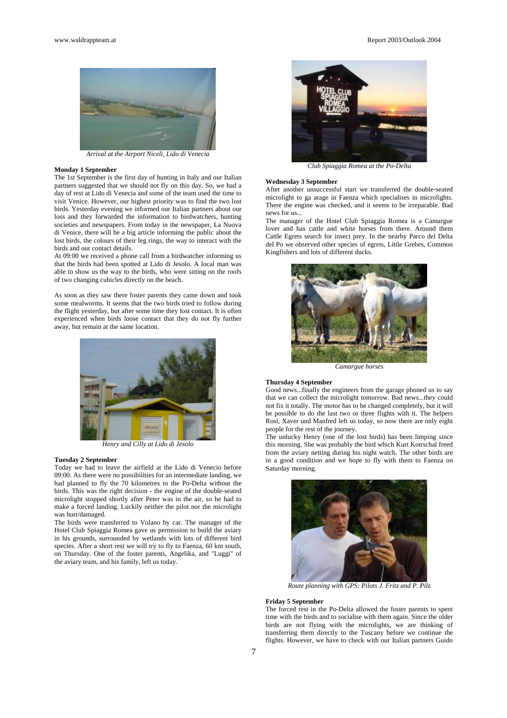

*Arrival at the Airport Niceli, Lido di Venecia* 

#### **Monday 1 September**

The 1st September is the first day of hunting in Italy and our Italian partners suggested that we should not fly on this day. So, we had a day of rest at Lido di Venecia and some of the team used the time to visit Venice. However, our highest priority was to find the two lost birds. Yesterday evening we informed our Italian partners about our loss and they forwarded the information to birdwatchers, hunting societies and newspapers. From today in the newspaper, La Nuova di Venice, there will be a big article informing the public about the lost birds, the colours of their leg rings, the way to interact with the birds and our contact details.

At 09:00 we received a phone call from a birdwatcher informing us that the birds had been spotted at Lido di Jesolo. A local man was able to show us the way to the birds, who were sitting on the roofs of two changing cubicles directly on the beach.

As soon as they saw there foster parents they came down and took some mealworms. It seems that the two birds tried to follow during the flight yesterday, but after some time they lost contact. It is often experienced when birds loose contact that they do not fly further away, but remain at the same location.



*Henry and Cilly at Lido di Jesolo* 

#### **Tuesday 2 September**

Today we had to leave the airfield at the Lido di Venecio before 09:00. As there were no possibilities for an intermediate landing, we had planned to fly the 70 kilometres to the Po-Delta without the birds. This was the right decision - the engine of the double-seated microlight stopped shortly after Peter was in the air, so he had to make a forced landing. Luckily neither the pilot nor the microlight was hurt/damaged.

The birds were transferred to Volano by car. The manager of the Hotel Club Spiaggia Romea gave us permission to build the aviary in his grounds, surrounded by wetlands with lots of different bird species. After a short rest we will try to fly to Faenza, 60 km south, on Thursday. One of the foster parents, Angelika, and "Luggi" of the aviary team, and his family, left us today.



*Club Spiaggia Romea at the Po-Delta* 

#### **Wednesday 3 September**

After another unsuccessful start we transferred the double-seated microlight to ga arage in Faenza which specialises in microlights. There the engine was checked, and it seems to be irreparable. Bad news for us...

The manager of the Hotel Club Spiaggia Romea is a Camargue lover and has cattle and white horses from there. Around them Cattle Egrets search for insect prey. In the nearby Parco del Delta del Po we observed other species of egrets, Little Grebes, Common Kingfishers and lots of different ducks.



*Camargue horses* 

#### **Thursday 4 September**

Good news...finally the engineers from the garage phoned us to say that we can collect the microlight tomorrow. Bad news...they could not fix it totally. The motor has to be changed completely, but it will be possible to do the last two or three flights with it. The helpers Rosi, Xaver und Manfred left us today, so now there are only eight people for the rest of the journey.

The unlucky Henry (one of the lost birds) has been limping since this morning. She was probably the bird which Kurt Kotrschal freed from the aviary netting during his night watch. The other birds are in a good condition and we hope to fly with them to Faenza on Saturday morning.



*Route planning with GPS; Pilots J. Fritz and P. Pilz*

#### **Friday 5 September**

The forced rest in the Po-Delta allowed the foster parents to spent time with the birds and to socialise with them again. Since the older birds are not flying with the microlights, we are thinking of transferring them directly to the Tuscany before we continue the flights. However, we have to check with our Italian partners Guido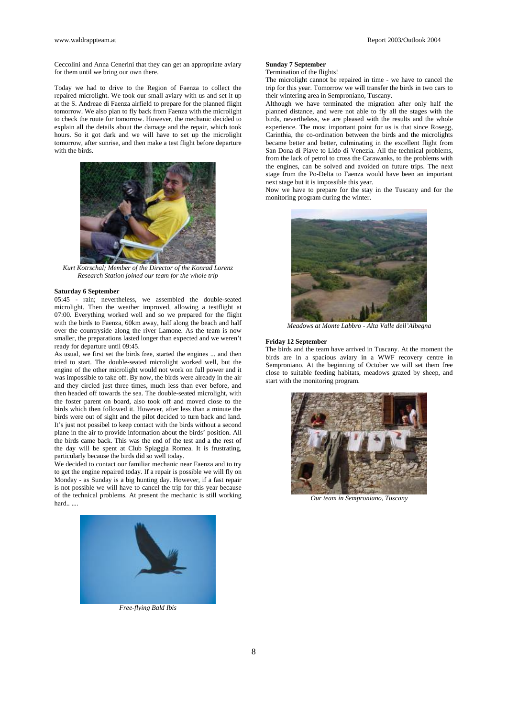Ceccolini and Anna Cenerini that they can get an appropriate aviary for them until we bring our own there.

Today we had to drive to the Region of Faenza to collect the repaired microlight. We took our small aviary with us and set it up at the S. Andreae di Faenza airfield to prepare for the planned flight tomorrow. We also plan to fly back from Faenza with the microlight to check the route for tomorrow. However, the mechanic decided to explain all the details about the damage and the repair, which took hours. So it got dark and we will have to set up the microlight tomorrow, after sunrise, and then make a test flight before departure with the birds.



*Kurt Kotrschal; Member of the Director of the Konrad Lorenz Research Station joined our team for the whole trip* 

#### **Saturday 6 September**

05:45 - rain; nevertheless, we assembled the double-seated microlight. Then the weather improved, allowing a testflight at 07:00. Everything worked well and so we prepared for the flight with the birds to Faenza, 60km away, half along the beach and half over the countryside along the river Lamone. As the team is now smaller, the preparations lasted longer than expected and we weren't ready for departure until 09:45.

As usual, we first set the birds free, started the engines ... and then tried to start. The double-seated microlight worked well, but the engine of the other microlight would not work on full power and it was impossible to take off. By now, the birds were already in the air and they circled just three times, much less than ever before, and then headed off towards the sea. The double-seated microlight, with the foster parent on board, also took off and moved close to the birds which then followed it. However, after less than a minute the birds were out of sight and the pilot decided to turn back and land. It's just not possibel to keep contact with the birds without a second plane in the air to provide information about the birds' position. All the birds came back. This was the end of the test and a the rest of the day will be spent at Club Spiaggia Romea. It is frustrating, particularly because the birds did so well today.

We decided to contact our familiar mechanic near Faenza and to try to get the engine repaired today. If a repair is possible we will fly on Monday - as Sunday is a big hunting day. However, if a fast repair is not possible we will have to cancel the trip for this year because of the technical problems. At present the mechanic is still working *Our team in Semproniano, Tuscany* hard.. ...



*Free-flying Bald Ibis* 

#### **Sunday 7 September**

Termination of the flights!

The microlight cannot be repaired in time - we have to cancel the trip for this year. Tomorrow we will transfer the birds in two cars to their wintering area in Semproniano, Tuscany.

Although we have terminated the migration after only half the planned distance, and were not able to fly all the stages with the birds, nevertheless, we are pleased with the results and the whole experience. The most important point for us is that since Rosegg, Carinthia, the co-ordination between the birds and the microlights became better and better, culminating in the excellent flight from San Dona di Piave to Lido di Venezia. All the technical problems, from the lack of petrol to cross the Carawanks, to the problems with the engines, can be solved and avoided on future trips. The next stage from the Po-Delta to Faenza would have been an important next stage but it is impossible this year.

Now we have to prepare for the stay in the Tuscany and for the monitoring program during the winter.



*Meadows at Monte Labbro - Alta Valle dell'Albegna* 

#### **Friday 12 September**

The birds and the team have arrived in Tuscany. At the moment the birds are in a spacious aviary in a WWF recovery centre in Semproniano. At the beginning of October we will set them free close to suitable feeding habitats, meadows grazed by sheep, and start with the monitoring program.

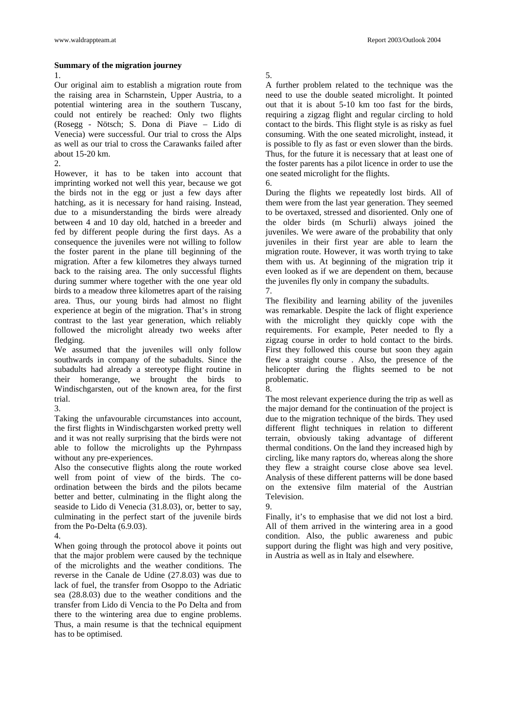## **Summary of the migration journey**

1.

Our original aim to establish a migration route from the raising area in Scharnstein, Upper Austria, to a potential wintering area in the southern Tuscany, could not entirely be reached: Only two flights (Rosegg - Nötsch; S. Dona di Piave – Lido di Venecia) were successful. Our trial to cross the Alps as well as our trial to cross the Carawanks failed after about 15-20 km.

2.

However, it has to be taken into account that imprinting worked not well this year, because we got the birds not in the egg or just a few days after hatching, as it is necessary for hand raising. Instead, due to a misunderstanding the birds were already between 4 and 10 day old, hatched in a breeder and fed by different people during the first days. As a consequence the juveniles were not willing to follow the foster parent in the plane till beginning of the migration. After a few kilometres they always turned back to the raising area. The only successful flights during summer where together with the one year old birds to a meadow three kilometres apart of the raising area. Thus, our young birds had almost no flight experience at begin of the migration. That's in strong contrast to the last year generation, which reliably followed the microlight already two weeks after fledging.

We assumed that the juveniles will only follow southwards in company of the subadults. Since the subadults had already a stereotype flight routine in their homerange, we brought the birds to Windischgarsten, out of the known area, for the first trial.

3.

Taking the unfavourable circumstances into account, the first flights in Windischgarsten worked pretty well and it was not really surprising that the birds were not able to follow the microlights up the Pyhrnpass without any pre-experiences.

Also the consecutive flights along the route worked well from point of view of the birds. The coordination between the birds and the pilots became better and better, culminating in the flight along the seaside to Lido di Venecia (31.8.03), or, better to say, culminating in the perfect start of the juvenile birds from the Po-Delta (6.9.03).

4.

When going through the protocol above it points out that the major problem were caused by the technique of the microlights and the weather conditions. The reverse in the Canale de Udine (27.8.03) was due to lack of fuel, the transfer from Osoppo to the Adriatic sea (28.8.03) due to the weather conditions and the transfer from Lido di Vencia to the Po Delta and from there to the wintering area due to engine problems. Thus, a main resume is that the technical equipment has to be optimised.

#### www.waldrappteam.at Report 2003/Outlook 2004

# 5.

A further problem related to the technique was the need to use the double seated microlight. It pointed out that it is about 5-10 km too fast for the birds, requiring a zigzag flight and regular circling to hold contact to the birds. This flight style is as risky as fuel consuming. With the one seated microlight, instead, it is possible to fly as fast or even slower than the birds. Thus, for the future it is necessary that at least one of the foster parents has a pilot licence in order to use the one seated microlight for the flights.

6.

During the flights we repeatedly lost birds. All of them were from the last year generation. They seemed to be overtaxed, stressed and disoriented. Only one of the older birds (m Schurli) always joined the juveniles. We were aware of the probability that only juveniles in their first year are able to learn the migration route. However, it was worth trying to take them with us. At beginning of the migration trip it even looked as if we are dependent on them, because the juveniles fly only in company the subadults. 7.

The flexibility and learning ability of the juveniles was remarkable. Despite the lack of flight experience with the microlight they quickly cope with the requirements. For example, Peter needed to fly a zigzag course in order to hold contact to the birds. First they followed this course but soon they again flew a straight course . Also, the presence of the helicopter during the flights seemed to be not problematic.

8.

The most relevant experience during the trip as well as the major demand for the continuation of the project is due to the migration technique of the birds. They used different flight techniques in relation to different terrain, obviously taking advantage of different thermal conditions. On the land they increased high by circling, like many raptors do, whereas along the shore they flew a straight course close above sea level. Analysis of these different patterns will be done based on the extensive film material of the Austrian Television.

9.

Finally, it's to emphasise that we did not lost a bird. All of them arrived in the wintering area in a good condition. Also, the public awareness and pubic support during the flight was high and very positive, in Austria as well as in Italy and elsewhere.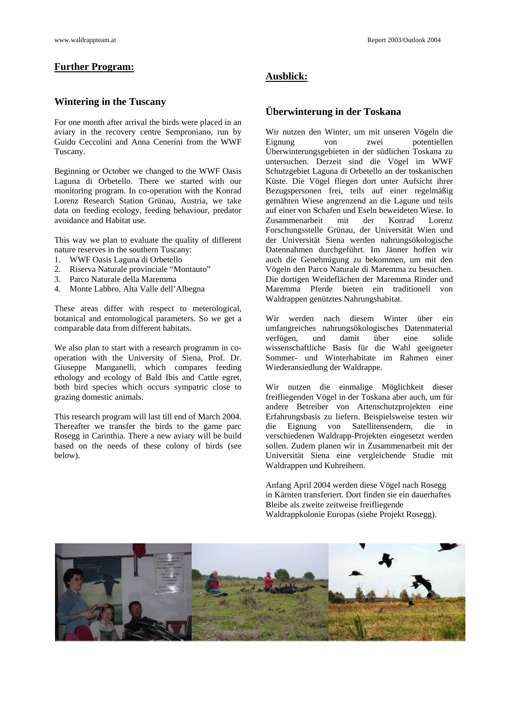# **Further Program:**

# **Wintering in the Tuscany**

For one month after arrival the birds were placed in an aviary in the recovery centre Semproniano, run by Guido Ceccolini and Anna Cenerini from the WWF Tuscany.

Beginning or October we changed to the WWF Oasis Laguna di Orbetello. There we started with our monitoring program. In co-operation with the Konrad Lorenz Research Station Grünau, Austria, we take data on feeding ecology, feeding behaviour, predator avoidance and Habitat use.

This way we plan to evaluate the quality of different nature reserves in the southern Tuscany:

- 1. WWF Oasis Laguna di Orbetello
- 2. Riserva Naturale provinciale "Montauto"
- 3. Parco Naturale della Maremma
- 4. Monte Labbro, Alta Valle dell'Albegna

These areas differ with respect to meterological, botanical and entomological parameters. So we get a comparable data from different habitats.

We also plan to start with a research programm in cooperation with the University of Siena, Prof. Dr. Giuseppe Manganelli, which compares feeding ethology and ecology of Bald Ibis and Cattle egret, both bird species which occurs sympatric close to grazing domestic animals.

This research program will last till end of March 2004. Thereafter we transfer the birds to the game parc Rosegg in Carinthia. There a new aviary will be build based on the needs of these colony of birds (see below).

# **Ausblick:**

# **Überwinterung in der Toskana**

Wir nutzen den Winter, um mit unseren Vögeln die Eignung von zwei potentiellen Überwinterungsgebieten in der südlichen Toskana zu untersuchen. Derzeit sind die Vögel im WWF Schutzgebiet Laguna di Orbetello an der toskanischen Küste. Die Vögel fliegen dort unter Aufsicht ihrer Bezugspersonen frei, teils auf einer regelmäßig gemähten Wiese angrenzend an die Lagune und teils auf einer von Schafen und Eseln beweideten Wiese. In Zusammenarbeit mit der Konrad Lorenz Forschungsstelle Grünau, der Universität Wien und der Universität Siena werden nahrungsökologische Datennahmen durchgeführt. Im Jänner hoffen wir auch die Genehmigung zu bekommen, um mit den Vögeln den Parco Naturale di Maremma zu besuchen. Die dortigen Weideflächen der Maremma Rinder und Maremma Pferde bieten ein traditionell von Waldrappen genütztes Nahrungshabitat.

Wir werden nach diesem Winter über ein umfangreiches nahrungsökologisches Datenmaterial verfügen, und damit über eine solide wissenschaftliche Basis für die Wahl geeigneter Sommer- und Winterhabitate im Rahmen einer Wiederansiedlung der Waldrappe.

Wir nutzen die einmalige Möglichkeit dieser freifliegenden Vögel in der Toskana aber auch, um für andere Betreiber von Artenschutzprojekten eine Erfahrungsbasis zu liefern. Beispielsweise testen wir die Eignung von Satellitensendern, die in verschiedenen Waldrapp-Projekten eingesetzt werden sollen. Zudem planen wir in Zusammenarbeit mit der Universität Siena eine vergleichende Studie mit Waldrappen und Kuhreihern.

Anfang April 2004 werden diese Vögel nach Rosegg in Kärnten transferiert. Dort finden sie ein dauerhaftes Bleibe als zweite zeitweise freifliegende Waldrappkolonie Europas (siehe Projekt Rosegg).

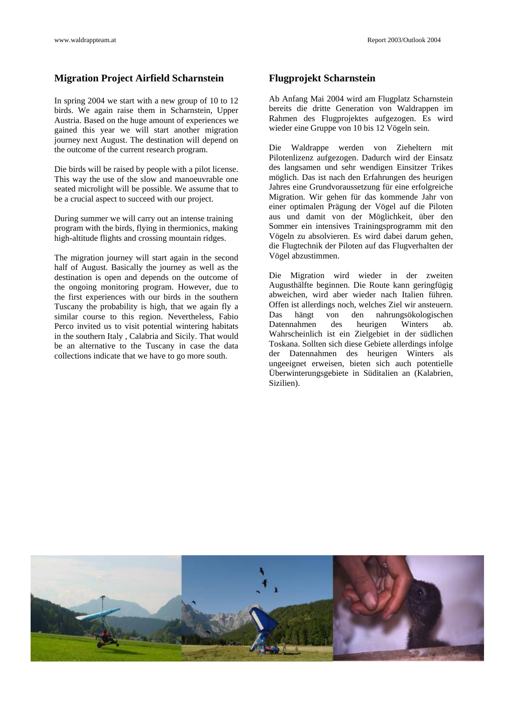# **Migration Project Airfield Scharnstein**

In spring 2004 we start with a new group of 10 to 12 birds. We again raise them in Scharnstein, Upper Austria. Based on the huge amount of experiences we gained this year we will start another migration journey next August. The destination will depend on the outcome of the current research program.

Die birds will be raised by people with a pilot license. This way the use of the slow and manoeuvrable one seated microlight will be possible. We assume that to be a crucial aspect to succeed with our project.

During summer we will carry out an intense training program with the birds, flying in thermionics, making high-altitude flights and crossing mountain ridges.

The migration journey will start again in the second half of August. Basically the journey as well as the destination is open and depends on the outcome of the ongoing monitoring program. However, due to the first experiences with our birds in the southern Tuscany the probability is high, that we again fly a similar course to this region. Nevertheless, Fabio Perco invited us to visit potential wintering habitats in the southern Italy , Calabria and Sicily. That would be an alternative to the Tuscany in case the data collections indicate that we have to go more south.

# **Flugprojekt Scharnstein**

Ab Anfang Mai 2004 wird am Flugplatz Scharnstein bereits die dritte Generation von Waldrappen im Rahmen des Flugprojektes aufgezogen. Es wird wieder eine Gruppe von 10 bis 12 Vögeln sein.

Die Waldrappe werden von Zieheltern mit Pilotenlizenz aufgezogen. Dadurch wird der Einsatz des langsamen und sehr wendigen Einsitzer Trikes möglich. Das ist nach den Erfahrungen des heurigen Jahres eine Grundvoraussetzung für eine erfolgreiche Migration. Wir gehen für das kommende Jahr von einer optimalen Prägung der Vögel auf die Piloten aus und damit von der Möglichkeit, über den Sommer ein intensives Trainingsprogramm mit den Vögeln zu absolvieren. Es wird dabei darum gehen, die Flugtechnik der Piloten auf das Flugverhalten der Vögel abzustimmen.

Die Migration wird wieder in der zweiten Augusthälfte beginnen. Die Route kann geringfügig abweichen, wird aber wieder nach Italien führen. Offen ist allerdings noch, welches Ziel wir ansteuern. Das hängt von den nahrungsökologischen Datennahmen des heurigen Winters ab. Wahrscheinlich ist ein Zielgebiet in der südlichen Toskana. Sollten sich diese Gebiete allerdings infolge der Datennahmen des heurigen Winters als ungeeignet erweisen, bieten sich auch potentielle Überwinterungsgebiete in Süditalien an (Kalabrien, Sizilien).

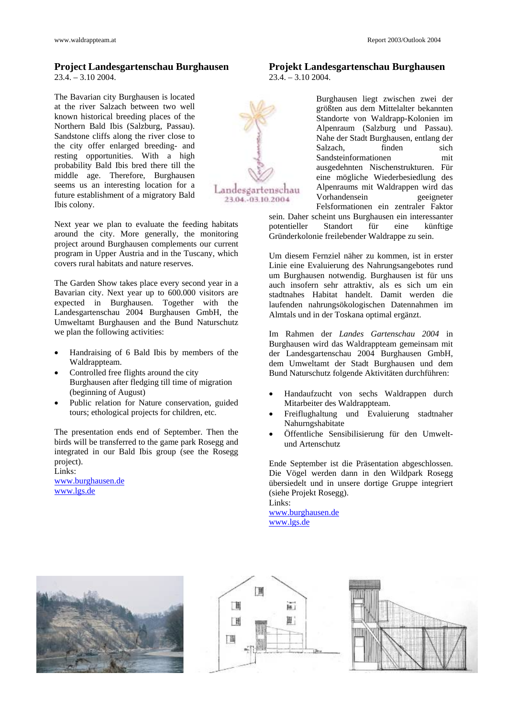# **Project Landesgartenschau Burghausen**

 $23.4. - 3.10\,2004.$ 

The Bavarian city Burghausen is located at the river Salzach between two well known historical breeding places of the Northern Bald Ibis (Salzburg, Passau). Sandstone cliffs along the river close to the city offer enlarged breeding- and resting opportunities. With a high probability Bald Ibis bred there till the middle age. Therefore, Burghausen seems us an interesting location for a future establishment of a migratory Bald Ibis colony.

Next year we plan to evaluate the feeding habitats around the city. More generally, the monitoring project around Burghausen complements our current program in Upper Austria and in the Tuscany, which covers rural habitats and nature reserves.

The Garden Show takes place every second year in a Bavarian city. Next year up to 600.000 visitors are expected in Burghausen. Together with the Landesgartenschau 2004 Burghausen GmbH, the Umweltamt Burghausen and the Bund Naturschutz we plan the following activities:

- Handraising of 6 Bald Ibis by members of the Waldrappteam.
- Controlled free flights around the city Burghausen after fledging till time of migration (beginning of August)
- Public relation for Nature conservation, guided tours; ethological projects for children, etc.

The presentation ends end of September. Then the birds will be transferred to the game park Rosegg and integrated in our Bald Ibis group (see the Rosegg project).

Links: [www.burghausen.de](http://www.burghausen.de/) [www.lgs.de](http://www.lgs.de/)



**Projekt Landesgartenschau Burghausen**  23.4. – 3.10 2004.

> Burghausen liegt zwischen zwei der größten aus dem Mittelalter bekannten Standorte von Waldrapp-Kolonien im Alpenraum (Salzburg und Passau). Nahe der Stadt Burghausen, entlang der Salzach, finden sich Sandsteinformationen mit ausgedehnten Nischenstrukturen. Für eine mögliche Wiederbesiedlung des Alpenraums mit Waldrappen wird das Vorhandensein geeigneter Felsformationen ein zentraler Faktor

sein. Daher scheint uns Burghausen ein interessanter potentieller Standort für eine künftige Gründerkolonie freilebender Waldrappe zu sein.

Um diesem Fernziel näher zu kommen, ist in erster Linie eine Evaluierung des Nahrungsangebotes rund um Burghausen notwendig. Burghausen ist für uns auch insofern sehr attraktiv, als es sich um ein stadtnahes Habitat handelt. Damit werden die laufenden nahrungsökologischen Datennahmen im Almtals und in der Toskana optimal ergänzt.

Im Rahmen der *Landes Gartenschau 2004* in Burghausen wird das Waldrappteam gemeinsam mit der Landesgartenschau 2004 Burghausen GmbH, dem Umweltamt der Stadt Burghausen und dem Bund Naturschutz folgende Aktivitäten durchführen:

- Handaufzucht von sechs Waldrappen durch Mitarbeiter des Waldrappteam.
- Freiflughaltung und Evaluierung stadtnaher Nahurngshabitate
- Öffentliche Sensibilisierung für den Umweltund Artenschutz

Ende September ist die Präsentation abgeschlossen. Die Vögel werden dann in den Wildpark Rosegg übersiedelt und in unsere dortige Gruppe integriert (siehe Projekt Rosegg). Links:

[www.burghausen.de](http://www.burghausen.de/) [www.lgs.de](http://www.lgs.de/)





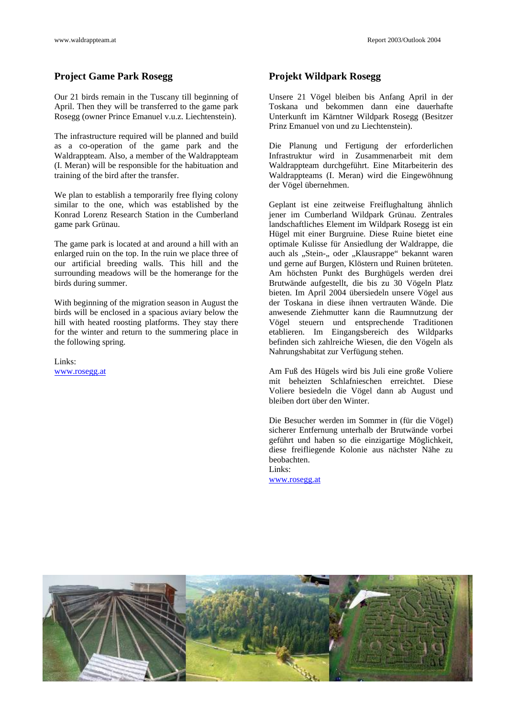# **Project Game Park Rosegg State Projekt Wildpark Rosegg State Projekt Wildpark Rosegg**

Our 21 birds remain in the Tuscany till beginning of April. Then they will be transferred to the game park Rosegg (owner Prince Emanuel v.u.z. Liechtenstein).

The infrastructure required will be planned and build as a co-operation of the game park and the Waldrappteam. Also, a member of the Waldrappteam (I. Meran) will be responsible for the habituation and training of the bird after the transfer.

We plan to establish a temporarily free flying colony similar to the one, which was established by the Konrad Lorenz Research Station in the Cumberland game park Grünau.

The game park is located at and around a hill with an enlarged ruin on the top. In the ruin we place three of our artificial breeding walls. This hill and the surrounding meadows will be the homerange for the birds during summer.

With beginning of the migration season in August the birds will be enclosed in a spacious aviary below the hill with heated roosting platforms. They stay there for the winter and return to the summering place in the following spring.

Links:

Unsere 21 Vögel bleiben bis Anfang April in der Toskana und bekommen dann eine dauerhafte Unterkunft im Kärntner Wildpark Rosegg (Besitzer Prinz Emanuel von und zu Liechtenstein).

Die Planung und Fertigung der erforderlichen Infrastruktur wird in Zusammenarbeit mit dem Waldrappteam durchgeführt. Eine Mitarbeiterin des Waldrappteams (I. Meran) wird die Eingewöhnung der Vögel übernehmen.

Geplant ist eine zeitweise Freiflughaltung ähnlich jener im Cumberland Wildpark Grünau. Zentrales landschaftliches Element im Wildpark Rosegg ist ein Hügel mit einer Burgruine. Diese Ruine bietet eine optimale Kulisse für Ansiedlung der Waldrappe, die auch als "Stein-" oder "Klausrappe" bekannt waren und gerne auf Burgen, Klöstern und Ruinen brüteten. Am höchsten Punkt des Burghügels werden drei Brutwände aufgestellt, die bis zu 30 Vögeln Platz bieten. Im April 2004 übersiedeln unsere Vögel aus der Toskana in diese ihnen vertrauten Wände. Die anwesende Ziehmutter kann die Raumnutzung der Vögel steuern und entsprechende Traditionen etablieren. Im Eingangsbereich des Wildparks befinden sich zahlreiche Wiesen, die den Vögeln als Nahrungshabitat zur Verfügung stehen.

[www.rosegg.at](http://www.rosegg.at/) Am Fuß des Hügels wird bis Juli eine große Voliere mit beheizten Schlafnieschen erreichtet. Diese Voliere besiedeln die Vögel dann ab August und bleiben dort über den Winter.

> Die Besucher werden im Sommer in (für die Vögel) sicherer Entfernung unterhalb der Brutwände vorbei geführt und haben so die einzigartige Möglichkeit, diese freifliegende Kolonie aus nächster Nähe zu beobachten.

Links: [www.rosegg.at](http://www.rosegg.at/)

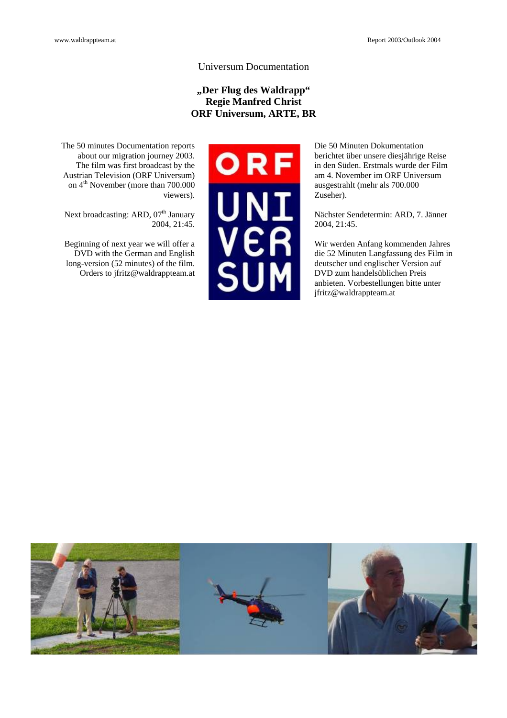# Universum Documentation

# **"Der Flug des Waldrapp" Regie Manfred Christ ORF Universum, ARTE, BR**

The 50 minutes Documentation reports about our migration journey 2003. The film was first broadcast by the Austrian Television (ORF Universum) on 4<sup>th</sup> November (more than 700.000 viewers).

Next broadcasting: ARD, 07<sup>th</sup> January  $2004, 21:45.$ 

Beginning of next year we will offer a DVD with the German and English long-version (52 minutes) of the film. Orders to jfritz@waldrappteam.at



Die 50 Minuten Dokumentation berichtet über unsere diesjährige Reise in den Süden. Erstmals wurde der Film am 4. November im ORF Universum ausgestrahlt (mehr als 700.000 Zuseher).

Nächster Sendetermin: ARD, 7. Jänner 2004, 21:45.

Wir werden Anfang kommenden Jahres die 52 Minuten Langfassung des Film in deutscher und englischer Version auf DVD zum handelsüblichen Preis anbieten. Vorbestellungen bitte unter jfritz@waldrappteam.at

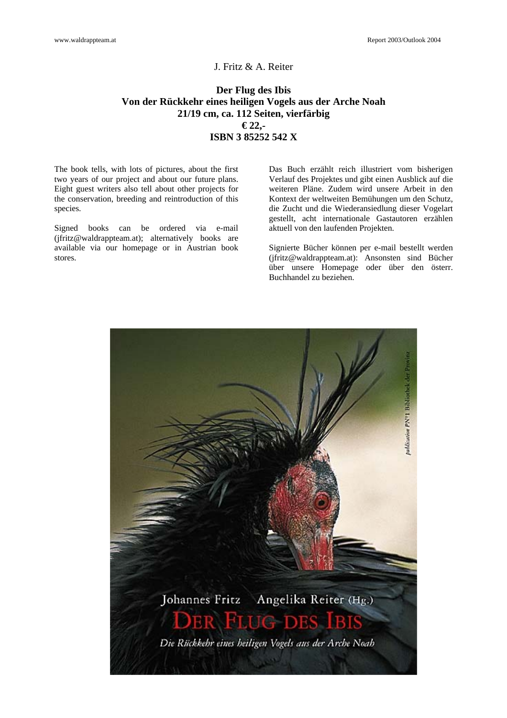# J. Fritz & A. Reiter

# **Der Flug des Ibis Von der Rückkehr eines heiligen Vogels aus der Arche Noah 21/19 cm, ca. 112 Seiten, vierfärbig € 22,- ISBN 3 85252 542 X**

The book tells, with lots of pictures, about the first two years of our project and about our future plans. Eight guest writers also tell about other projects for the conservation, breeding and reintroduction of this species.

Signed books can be ordered via e-mail (jfritz@waldrappteam.at); alternatively books are available via our homepage or in Austrian book stores.

Das Buch erzählt reich illustriert vom bisherigen Verlauf des Projektes und gibt einen Ausblick auf die weiteren Pläne. Zudem wird unsere Arbeit in den Kontext der weltweiten Bemühungen um den Schutz, die Zucht und die Wiederansiedlung dieser Vogelart gestellt, acht internationale Gastautoren erzählen aktuell von den laufenden Projekten.

Signierte Bücher können per e-mail bestellt werden (jfritz@waldrappteam.at): Ansonsten sind Bücher über unsere Homepage oder über den österr. Buchhandel zu beziehen.

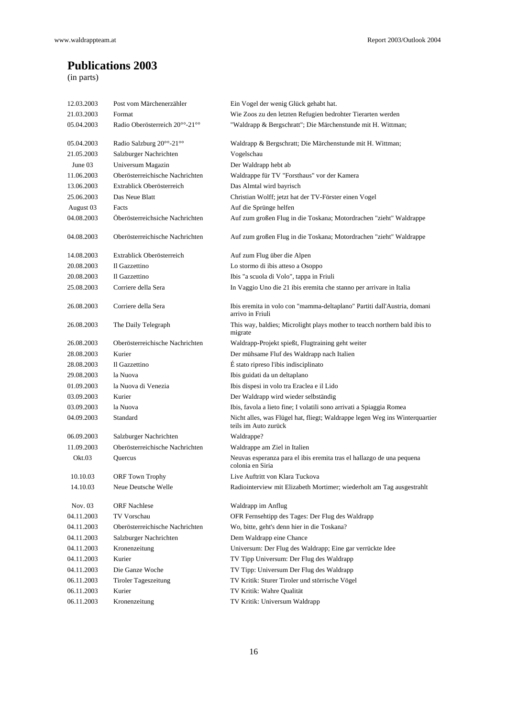# **Publications 2003**

(in parts)

| Post vom Märchenerzähler        | Ein Vogel der wenig Glück gehabt hat.                                                               |
|---------------------------------|-----------------------------------------------------------------------------------------------------|
| Format                          | Wie Zoos zu den letzten Refugien bedrohter Tierarten werden                                         |
| Radio Oberösterreich 20°°-21°°  | "Waldrapp & Bergschratt"; Die Märchenstunde mit H. Wittman;                                         |
| Radio Salzburg 20°°-21°°        | Waldrapp & Bergschratt; Die Märchenstunde mit H. Wittman;                                           |
| Salzburger Nachrichten          | Vogelschau                                                                                          |
| Universum Magazin               | Der Waldrapp hebt ab                                                                                |
| Oberösterreichische Nachrichten | Waldrappe für TV "Forsthaus" vor der Kamera                                                         |
| Extrablick Oberösterreich       | Das Almtal wird bayrisch                                                                            |
| Das Neue Blatt                  | Christian Wolff; jetzt hat der TV-Förster einen Vogel                                               |
| Facts                           | Auf die Sprünge helfen                                                                              |
| Öberösterreichsiche Nachrichten | Auf zum großen Flug in die Toskana; Motordrachen "zieht" Waldrappe                                  |
| Oberösterreichische Nachrichten | Auf zum großen Flug in die Toskana; Motordrachen "zieht" Waldrappe                                  |
| Extrablick Oberösterreich       | Auf zum Flug über die Alpen                                                                         |
| Il Gazzettino                   | Lo stormo di ibis atteso a Osoppo                                                                   |
| Il Gazzettino                   | Ibis "a scuola di Volo", tappa in Friuli                                                            |
| Corriere della Sera             | In Vaggio Uno die 21 ibis eremita che stanno per arrivare in Italia                                 |
| Corriere della Sera             | Ibis eremita in volo con "mamma-deltaplano" Partiti dall'Austria, domani<br>arrivo in Friuli        |
| The Daily Telegraph             | This way, baldies; Microlight plays mother to teacch northern bald ibis to<br>migrate               |
| Oberösterreichische Nachrichten | Waldrapp-Projekt spießt, Flugtraining geht weiter                                                   |
| Kurier                          | Der mühsame Fluf des Waldrapp nach Italien                                                          |
| Il Gazzettino                   | É stato ripreso l'ibis indisciplinato                                                               |
| la Nuova                        | Ibis guidati da un deltaplano                                                                       |
| la Nuova di Venezia             | Ibis dispesi in volo tra Eraclea e il Lido                                                          |
| Kurier                          | Der Waldrapp wird wieder selbständig                                                                |
| la Nuova                        | Ibis, favola a lieto fine; I volatili sono arrivati a Spiaggia Romea                                |
| Standard                        | Nicht alles, was Flügel hat, fliegt; Waldrappe legen Weg ins Winterquartier<br>teils im Auto zurück |
| Salzburger Nachrichten          | Waldrappe?                                                                                          |
| Oberösterreichische Nachrichten | Waldrappe am Ziel in Italien                                                                        |
| Quercus                         | Neuvas esperanza para el ibis eremita tras el hallazgo de una pequena<br>colonia en Siria           |
| <b>ORF Town Trophy</b>          | Live Auftritt von Klara Tuckova                                                                     |
| Neue Deutsche Welle             | Radiointerview mit Elizabeth Mortimer; wiederholt am Tag ausgestrahlt                               |
| <b>ORF Nachlese</b>             | Waldrapp im Anflug                                                                                  |
| TV Vorschau                     | OFR Fernsehtipp des Tages: Der Flug des Waldrapp                                                    |
| Oberösterreichische Nachrichten | Wo, bitte, geht's denn hier in die Toskana?                                                         |
| Salzburger Nachrichten          | Dem Waldrapp eine Chance                                                                            |
| Kronenzeitung                   | Universum: Der Flug des Waldrapp; Eine gar verrückte Idee                                           |
| Kurier                          | TV Tipp Universum: Der Flug des Waldrapp                                                            |
| Die Ganze Woche                 | TV Tipp: Universum Der Flug des Waldrapp                                                            |
| <b>Tiroler Tageszeitung</b>     | TV Kritik: Sturer Tiroler und störrische Vögel                                                      |
| Kurier                          | TV Kritik: Wahre Qualität                                                                           |
| Kronenzeitung                   | TV Kritik: Universum Waldrapp                                                                       |
|                                 |                                                                                                     |